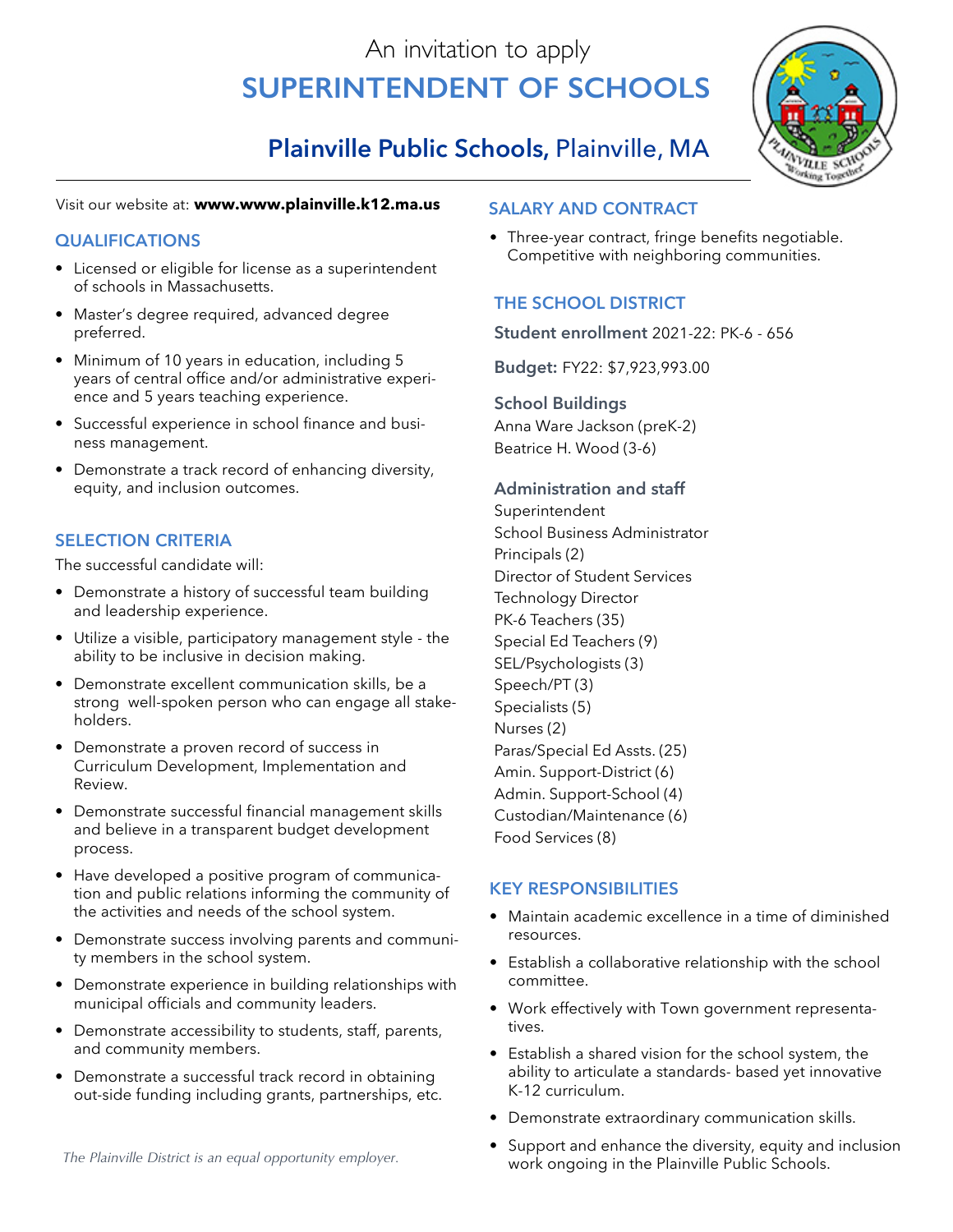# An invitation to apply **Superintendent of Schools**

## **Plainville Public Schools,** Plainville, MA

#### Visit our website at: **www.www.plainville.k12.ma.us**

#### **qualifications**

- Licensed or eligible for license as a superintendent of schools in Massachusetts.
- Master's degree required, advanced degree preferred.
- Minimum of 10 years in education, including 5 years of central office and/or administrative experience and 5 years teaching experience.
- Successful experience in school finance and business management.
- Demonstrate a track record of enhancing diversity, equity, and inclusion outcomes.

#### **SELECTION CRITERIA**

The successful candidate will:

- Demonstrate a history of successful team building and leadership experience.
- Utilize a visible, participatory management style the ability to be inclusive in decision making.
- Demonstrate excellent communication skills, be a strong well-spoken person who can engage all stakeholders.
- Demonstrate a proven record of success in Curriculum Development, Implementation and Review.
- Demonstrate successful financial management skills and believe in a transparent budget development process.
- Have developed a positive program of communication and public relations informing the community of the activities and needs of the school system.
- Demonstrate success involving parents and community members in the school system.
- Demonstrate experience in building relationships with municipal officials and community leaders.
- Demonstrate accessibility to students, staff, parents, and community members.
- Demonstrate a successful track record in obtaining out-side funding including grants, partnerships, etc.

#### **Salary and Contract**

• Three-year contract, fringe benefits negotiable. Competitive with neighboring communities.

### **The School District**

**Student enrollment** 2021-22: PK-6 - 656

**Budget:** FY22: \$7,923,993.00

**School Buildings** Anna Ware Jackson (preK-2) Beatrice H. Wood (3-6)

#### **Administration and staff**

Superintendent School Business Administrator Principals (2) Director of Student Services Technology Director PK-6 Teachers (35) Special Ed Teachers (9) SEL/Psychologists (3) Speech/PT (3) Specialists (5) Nurses (2) Paras/Special Ed Assts. (25) Amin. Support-District (6) Admin. Support-School (4) Custodian/Maintenance (6) Food Services (8)

#### **KEY RESPONSIBILITIES**

- Maintain academic excellence in a time of diminished resources.
- Establish a collaborative relationship with the school committee.
- Work effectively with Town government representatives.
- Establish a shared vision for the school system, the ability to articulate a standards- based yet innovative K-12 curriculum.
- Demonstrate extraordinary communication skills.
- Support and enhance the diversity, equity and inclusion work ongoing in the Plainville Public Schools. *The Plainville District is an equal opportunity employer.*